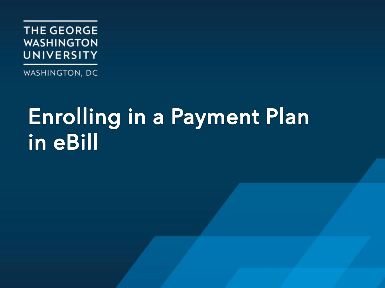

WASHINGTON, DC

## Enrolling in a Payment Plan in eBill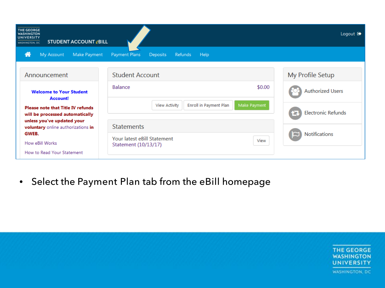| <b>THE GEORGE</b><br><b>WASHINGTON</b><br>UNIVERSITY<br><b>STUDENT ACCOUNT @BILL</b><br>WASHINGTON, DC |                                                                | Logout <sup>(*</sup>      |
|--------------------------------------------------------------------------------------------------------|----------------------------------------------------------------|---------------------------|
| 带<br>My Account<br>Make Payment                                                                        | <b>Deposits</b><br>Payment Plans<br><b>Refunds</b><br>Help     |                           |
| Announcement                                                                                           | <b>Student Account</b>                                         | My Profile Setup          |
| <b>Welcome to Your Student</b>                                                                         | <b>Balance</b><br>\$0.00                                       | <b>Authorized Users</b>   |
| Account!<br><b>Please note that Title IV refunds</b><br>will be processed automatically                | <b>View Activity</b><br>Make Payment<br>Enroll in Payment Plan | <b>Electronic Refunds</b> |
| unless you've updated your<br>voluntary online authorizations in<br>GWEB.                              | <b>Statements</b>                                              |                           |
| How eBill Works<br>How to Read Your Statement                                                          | Your latest eBill Statement<br>View<br>Statement (10/13/17)    | <b>Notifications</b>      |

• Select the Payment Plan tab from the eBill homepage

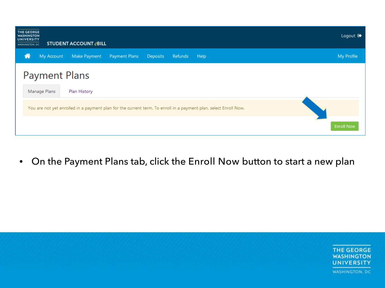| <b>THE GEORGE</b><br><b>WASHINGTON</b><br><b>UNIVERSITY</b><br><b>WASHINGTON, DC</b> |                      | <b>STUDENT ACCOUNT @BILL</b>                                                                                     |               |                 |         |      |  |                   | Logout $\mathbb{Q}$ |
|--------------------------------------------------------------------------------------|----------------------|------------------------------------------------------------------------------------------------------------------|---------------|-----------------|---------|------|--|-------------------|---------------------|
| 倄                                                                                    | My Account           | Make Payment                                                                                                     | Payment Plans | <b>Deposits</b> | Refunds | Help |  |                   | My Profile          |
|                                                                                      | <b>Payment Plans</b> |                                                                                                                  |               |                 |         |      |  |                   |                     |
|                                                                                      | Manage Plans         | Plan History                                                                                                     |               |                 |         |      |  |                   |                     |
|                                                                                      |                      | You are not yet enrolled in a payment plan for the current term. To enroll in a payment plan, select Enroll Now. |               |                 |         |      |  |                   |                     |
|                                                                                      |                      |                                                                                                                  |               |                 |         |      |  | <b>Enroll Now</b> |                     |

• On the Payment Plans tab, click the Enroll Now button to start a new plan

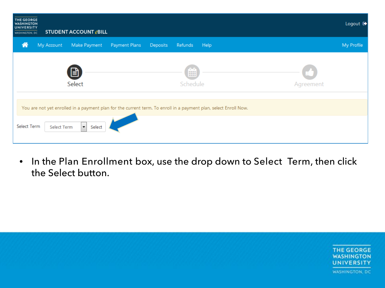| <b>THE GEORGE</b><br><b>WASHINGTON</b><br><b>UNIVERSITY</b><br>WASHINGTON, DC |             | <b>STUDENT ACCOUNT @BILL</b> |               |                 |                                                                                                                  |           | Logout <sup>[</sup> |
|-------------------------------------------------------------------------------|-------------|------------------------------|---------------|-----------------|------------------------------------------------------------------------------------------------------------------|-----------|---------------------|
| А                                                                             | My Account  | Make Payment                 | Payment Plans | <b>Deposits</b> | Refunds<br>Help                                                                                                  |           | My Profile          |
|                                                                               |             | 目<br>Select                  |               |                 | <b>BEEF</b><br><b>BEER</b><br><b>BREE</b><br>Schedule                                                            | Agreement |                     |
|                                                                               |             |                              |               |                 | You are not yet enrolled in a payment plan for the current term. To enroll in a payment plan, select Enroll Now. |           |                     |
| Select Term                                                                   | Select Term | $\mathbf{v}$<br>Select       |               |                 |                                                                                                                  |           |                     |

• In the Plan Enrollment box, use the drop down to Select Term, then click the Select button.

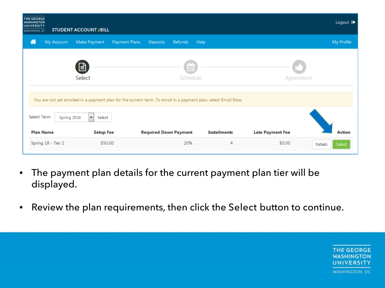| <b>THE GEORGE</b><br><b>WASHINGTON</b><br>UNIVERSITY<br><b>WASHINGTON, DC</b> | STUDENT ACCOUNT @BILL          |                                                                                                                  |                        |                     |                         | Logout <sup>(*</sup>     |
|-------------------------------------------------------------------------------|--------------------------------|------------------------------------------------------------------------------------------------------------------|------------------------|---------------------|-------------------------|--------------------------|
| 倄<br>My Account                                                               | Make Payment                   | Payment Plans<br><b>Deposits</b>                                                                                 | <b>Refunds</b><br>Help |                     |                         | My Profile               |
|                                                                               | 目<br>Select                    |                                                                                                                  | 酾<br>Schedule          |                     | Agreement               |                          |
|                                                                               |                                | You are not yet enrolled in a payment plan for the current term. To enroll in a payment plan, select Enroll Now. |                        |                     |                         |                          |
| Select Term<br>Spring 2018                                                    | $\blacktriangledown$<br>Select |                                                                                                                  |                        |                     |                         |                          |
| <b>Plan Name</b>                                                              | <b>Setup Fee</b>               | <b>Required Down Payment</b>                                                                                     |                        | <b>Installments</b> | <b>Late Payment Fee</b> | <b>Action</b>            |
| Spring 18 - Tier 2                                                            | \$50.00                        |                                                                                                                  | 20%                    | 4                   | \$0.00                  | Select<br><b>Details</b> |

- The payment plan details for the current payment plan tier will be displayed.
- Review the plan requirements, then click the Select button to continue.

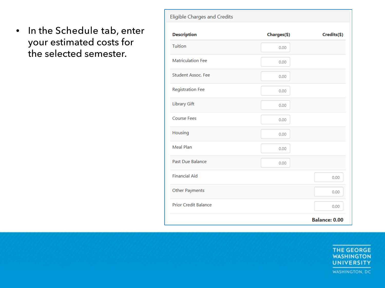• In the Schedule tab, enter your estimated costs for the selected semester.

| <b>Eligible Charges and Credits</b> |             |                      |
|-------------------------------------|-------------|----------------------|
| <b>Description</b>                  | Charges(\$) | Credits(\$)          |
| Tuition                             | 0.00        |                      |
| <b>Matriculation Fee</b>            | 0.00        |                      |
| <b>Student Assoc. Fee</b>           | 0.00        |                      |
| <b>Registration Fee</b>             | 0.00        |                      |
| <b>Library Gift</b>                 | 0.00        |                      |
| <b>Course Fees</b>                  | 0.00        |                      |
| Housing                             | 0.00        |                      |
| <b>Meal Plan</b>                    | 0.00        |                      |
| <b>Past Due Balance</b>             | 0.00        |                      |
| <b>Financial Aid</b>                |             | 0.00                 |
| <b>Other Payments</b>               |             | 0.00                 |
| <b>Prior Credit Balance</b>         |             | 0.00                 |
|                                     |             | <b>Balance: 0.00</b> |

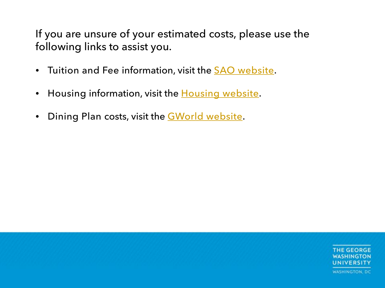If you are unsure of your estimated costs, please use the following links to assist you.

- Tuition and Fee information, visit the **SAO** website.
- Housing information, visit the **[Housing website](https://living.gwu.edu/housing-rates)**.
- Dining Plan costs, visit the **GWorld website**.

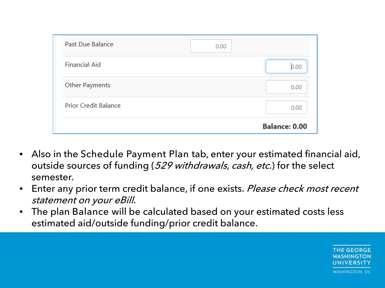| <b>Past Due Balance</b>     | 0.00 |                      |
|-----------------------------|------|----------------------|
| <b>Financial Aid</b>        |      | 0.00                 |
| <b>Other Payments</b>       |      | 0.00                 |
| <b>Prior Credit Balance</b> |      | 0.00                 |
|                             |      | <b>Balance: 0.00</b> |

- Also in the Schedule Payment Plan tab, enter your estimated financial aid, outside sources of funding (529 withdrawals, cash, etc.) for the select semester.
- Enter any prior term credit balance, if one exists. Please check most recent statement on your eBill.
- The plan Balance will be calculated based on your estimated costs less estimated aid/outside funding/prior credit balance.

**THE GEORGE** JNIVERSITY **WASHINGTON, DC**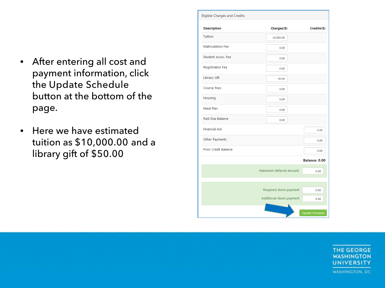- After entering all cost and payment information, click the Update Schedule button at the bottom of the page.
- Here we have estimated tuition as \$10,000.00 and a library gift of \$50.00

| <b>Description</b>          | Charges(\$)              | Credits(\$)          |
|-----------------------------|--------------------------|----------------------|
| Tuition                     | 10,000.00                |                      |
| <b>Matriculation Fee</b>    | 0.00                     |                      |
| Student Assoc. Fee          | 0.00                     |                      |
| <b>Registration Fee</b>     | 0.00                     |                      |
| <b>Library Gift</b>         | 50.00                    |                      |
| <b>Course Fees</b>          | 0.00                     |                      |
| Housing                     | 0.00                     |                      |
| Meal Plan                   | 0.00                     |                      |
| Past Due Balance            | 0.00                     |                      |
| <b>Financial Aid</b>        |                          | 0.00                 |
| Other Payments              |                          | 0.00                 |
| <b>Prior Credit Balance</b> |                          | 0.00                 |
|                             |                          | <b>Balance: 0.00</b> |
|                             | Maximum deferral amount: | 0.00                 |
|                             | Required down payment    | 0.00                 |
|                             | Additional down payment  | 0.00                 |

**THE GEORGE WASHINGTON UNIVERSITY WASHINGTON, DC**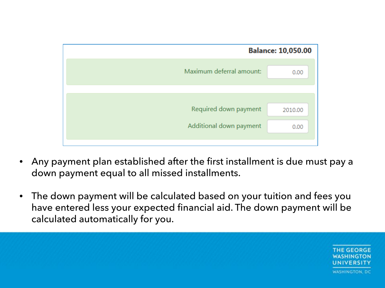

- Any payment plan established after the first installment is due must pay a down payment equal to all missed installments.
- The down payment will be calculated based on your tuition and fees you have entered less your expected financial aid. The down payment will be calculated automatically for you.

**THE GEORGE** UNIVERSITY **WASHINGTON, DC**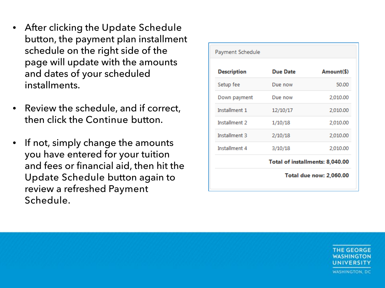- After clicking the Update Schedule button, the payment plan installment schedule on the right side of the page will update with the amounts and dates of your scheduled installments.
- Review the schedule, and if correct, then click the Continue button.
- If not, simply change the amounts you have entered for your tuition and fees or financial aid, then hit the Update Schedule button again to review a refreshed Payment Schedule.

| Payment Schedule               |                 |                                 |  |  |
|--------------------------------|-----------------|---------------------------------|--|--|
| <b>Description</b>             | <b>Due Date</b> | Amount(\$)                      |  |  |
| Setup fee                      | Due now         | 50.00                           |  |  |
| Down payment                   | Due now         | 2,010.00                        |  |  |
| Installment 1                  | 12/10/17        | 2,010.00                        |  |  |
| Installment 2                  | 1/10/18         | 2,010.00                        |  |  |
| Installment 3                  | 2/10/18         | 2,010.00                        |  |  |
| Installment 4                  | 3/10/18         | 2,010.00                        |  |  |
|                                |                 | Total of installments: 8,040.00 |  |  |
| <b>Total due now: 2,060.00</b> |                 |                                 |  |  |

THE GEORGE **JNIVERSITY WASHINGTON, DC**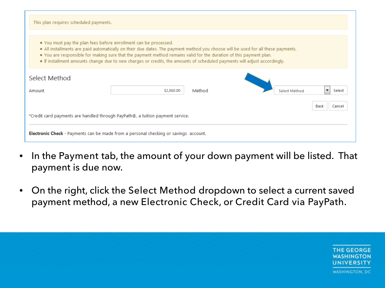| This plan requires scheduled payments.                                                                                                                                                                                                                                                                                                                                                                                                                  |            |        |  |               |      |        |  |
|---------------------------------------------------------------------------------------------------------------------------------------------------------------------------------------------------------------------------------------------------------------------------------------------------------------------------------------------------------------------------------------------------------------------------------------------------------|------------|--------|--|---------------|------|--------|--|
| • You must pay the plan fees before enrollment can be processed.<br>. All installments are paid automatically on their due dates. The payment method you choose will be used for all these payments.<br>. You are responsible for making sure that the payment method remains valid for the duration of this payment plan.<br>• If installment amounts change due to new charges or credits, the amounts of scheduled payments will adjust accordingly. |            |        |  |               |      |        |  |
| Select Method<br>Amount                                                                                                                                                                                                                                                                                                                                                                                                                                 | \$2,060,00 | Method |  | Select Method |      | Select |  |
| *Credit card payments are handled through PayPath®, a tuition payment service.                                                                                                                                                                                                                                                                                                                                                                          |            |        |  |               | Back | Cance  |  |
| <b>Electronic Check</b> - Payments can be made from a personal checking or savings account.                                                                                                                                                                                                                                                                                                                                                             |            |        |  |               |      |        |  |

- In the Payment tab, the amount of your down payment will be listed. That payment is due now.
- On the right, click the Select Method dropdown to select a current saved payment method, a new Electronic Check, or Credit Card via PayPath.

**THE GEORGE WASHINGTON** UNIVERSITY **WASHINGTON, DC**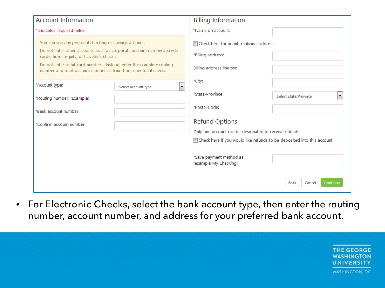| <b>Account Information</b>                                                                                                           | <b>Billing Information</b>                                              |                                    |
|--------------------------------------------------------------------------------------------------------------------------------------|-------------------------------------------------------------------------|------------------------------------|
| * Indicates required fields                                                                                                          | *Name on account:                                                       |                                    |
| You can use any personal checking or savings account.<br>Do not enter other accounts, such as corporate account numbers, credit      | <b>ID</b> Check here for an international address                       |                                    |
| cards, home equity, or traveler's checks.                                                                                            | *Billing address:                                                       |                                    |
| Do not enter debit card numbers. Instead, enter the complete routing<br>number and bank account number as found on a personal check. | Billing address line two:                                               |                                    |
| *Account type:<br>Select account type<br>۰.                                                                                          | *City:                                                                  |                                    |
| *Routing number: (Example)                                                                                                           | *State/Province:                                                        | ۰.<br><b>Select State/Province</b> |
| *Bank account number:                                                                                                                | *Postal Code:                                                           |                                    |
| *Confirm account number:                                                                                                             | <b>Refund Options</b>                                                   |                                    |
|                                                                                                                                      | Only one account can be designated to receive refunds.                  |                                    |
|                                                                                                                                      | Check here if you would like refunds to be deposited into this account. |                                    |
|                                                                                                                                      | *Save payment method as:<br>(example My Checking)                       |                                    |
|                                                                                                                                      |                                                                         | Continue<br><b>Back</b><br>Cancel  |

• For Electronic Checks, select the bank account type, then enter the routing number, account number, and address for your preferred bank account.

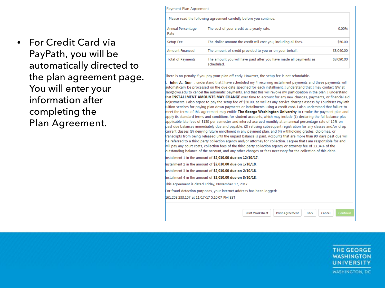• For Credit Card via PayPath, you will be automatically directed to the plan agreement page. You will enter your information after completing the Plan Agreement.

| Payment Plan Agreement                                             |                                                                                 |            |  |  |
|--------------------------------------------------------------------|---------------------------------------------------------------------------------|------------|--|--|
| Please read the following agreement carefully before you continue. |                                                                                 |            |  |  |
| Annual Percentage<br>Rate                                          | The cost of your credit as a yearly rate.                                       | 0.00%      |  |  |
| Setup Fee                                                          | The dollar amount the credit will cost you, including all fees.                 | \$50.00    |  |  |
| <b>Amount Financed</b>                                             | The amount of credit provided to you or on your behalf.                         | \$8,040.00 |  |  |
| <b>Total of Payments</b>                                           | The amount you will have paid after you have made all payments as<br>scheduled. | \$8,090.00 |  |  |

There is no penalty if you pay your plan off early. However, the setup fee is not refundable.

John A. Doe , understand that I have scheduled my 4 recurring installment payments and these payments will automatically be processed on the due date specified for each installment. I understand that I may contact GW at sao@gwu.edu to cancel the automatic payments, and that this will revoke my participation in the plan. I understand that INSTALLMENT AMOUNTS MAY CHANGE over time to account for any new charges, payments, or financial aid adjustments. I also agree to pay the setup fee of \$50.00, as well as any service charges assess by TouchNet PayPath tuition services for paying plan down payments or installments using a credit card. I also understand that failure to meet the terms of this agreement may entitle The George Washington University to revoke the payment plan and apply its standard terms and conditions for student accounts, which may include (1) declaring the full balance plus applicable late fees of \$150 per semester and interest accrued monthly at an annual percentage rate of 12% on past due balances immediately due and payable, (2) refusing subsequent registration for any classes and/or drop current classes (3) denying future enrollment in any payment plan, and (4) withholding grades, diplomas, or transcripts from being released until the unpaid balance is paid. Accounts that are more than 90 days past due will be referred to a third party collection agency and/or attorney for collection. I agree that I am responsible for and will pay any court costs, collection fees of the third party collection agency or attorney fee of 33.34% of the putstanding balance of the account, and any other charges or fees necessary for the collection of this debt.

- Installment 1 in the amount of \$2,010.00 due on 12/10/17.
- Installment 2 in the amount of \$2,010.00 due on 1/10/18.
- Installment 3 in the amount of \$2,010.00 due on 2/10/18.
- Installment 4 in the amount of \$2,010.00 due on 3/10/18.

This agreement is dated Friday, November 17, 2017.

For fraud detection purposes, your internet address has been logged:

161.253.233.157 at 11/17/17 5:10:07 PM EST

**Print Worksheet Print Agreement** 

Cancel

**Back** 

**THE GEORGE WASHINGTON** UNIVERSITY WASHINGTON, DC